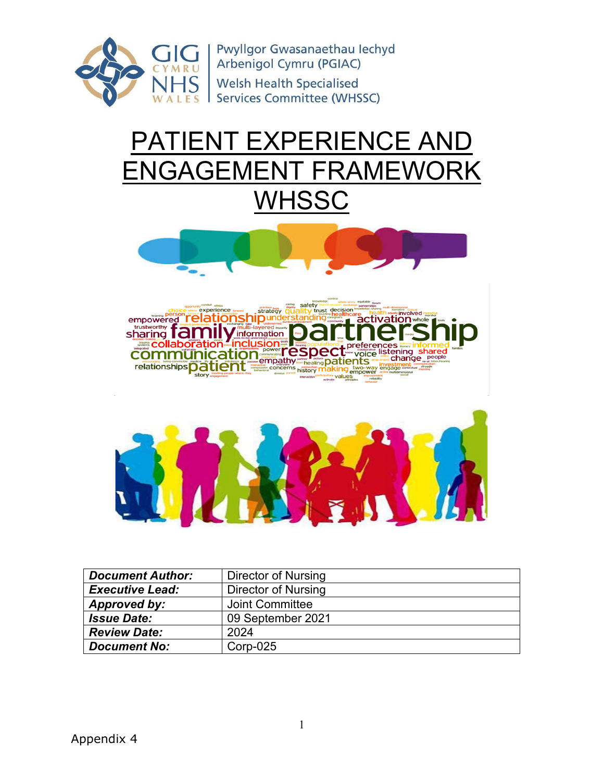

# PATIENT EXPERIENCE AND ENGAGEMENT FRAMEWORK **WHSSC**





| <b>Document Author:</b> | Director of Nursing    |
|-------------------------|------------------------|
| <b>Executive Lead:</b>  | Director of Nursing    |
| Approved by:            | <b>Joint Committee</b> |
| <b>Issue Date:</b>      | 09 September 2021      |
| <b>Review Date:</b>     | 2024                   |
| <b>Document No:</b>     | $Corp-025$             |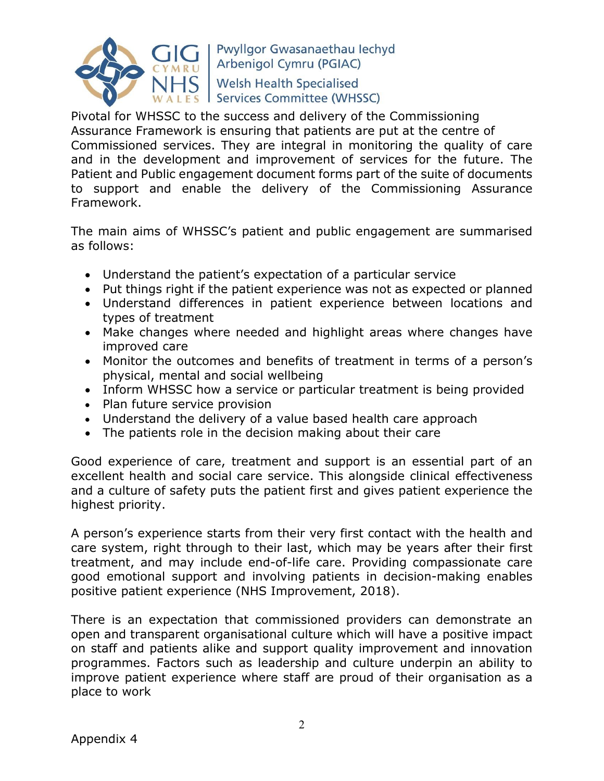

Pivotal for WHSSC to the success and delivery of the Commissioning Assurance Framework is ensuring that patients are put at the centre of Commissioned services. They are integral in monitoring the quality of care and in the development and improvement of services for the future. The Patient and Public engagement document forms part of the suite of documents to support and enable the delivery of the Commissioning Assurance Framework.

The main aims of WHSSC's patient and public engagement are summarised as follows:

- Understand the patient's expectation of a particular service
- Put things right if the patient experience was not as expected or planned
- Understand differences in patient experience between locations and types of treatment
- Make changes where needed and highlight areas where changes have improved care
- Monitor the outcomes and benefits of treatment in terms of a person's physical, mental and social wellbeing
- Inform WHSSC how a service or particular treatment is being provided
- Plan future service provision
- Understand the delivery of a value based health care approach
- The patients role in the decision making about their care

Good experience of care, treatment and support is an essential part of an excellent health and social care service. This alongside clinical effectiveness and a culture of safety puts the patient first and gives patient experience the highest priority.

A person's experience starts from their very first contact with the health and care system, right through to their last, which may be years after their first treatment, and may include end-of-life care. Providing compassionate care good emotional support and involving patients in decision-making enables positive patient experience (NHS Improvement, 2018).

There is an expectation that commissioned providers can demonstrate an open and transparent organisational culture which will have a positive impact on staff and patients alike and support quality improvement and innovation programmes. Factors such as leadership and culture underpin an ability to improve patient experience where staff are proud of their organisation as a place to work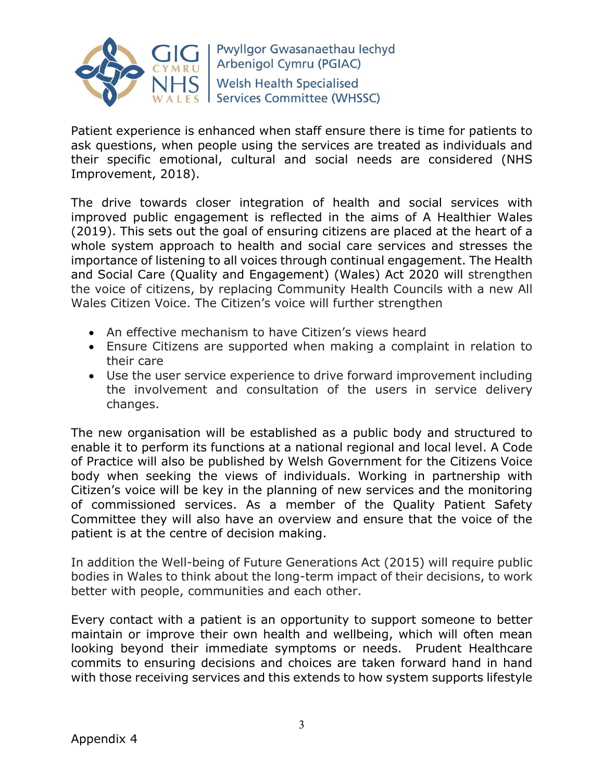

Patient experience is enhanced when staff ensure there is time for patients to ask questions, when people using the services are treated as individuals and their specific emotional, cultural and social needs are considered (NHS Improvement, 2018).

The drive towards closer integration of health and social services with improved public engagement is reflected in the aims of A Healthier Wales (2019). This sets out the goal of ensuring citizens are placed at the heart of a whole system approach to health and social care services and stresses the importance of listening to all voices through continual engagement. The Health and Social Care (Quality and Engagement) (Wales) Act 2020 will strengthen the voice of citizens, by replacing Community Health Councils with a new All Wales Citizen Voice. The Citizen's voice will further strengthen

- An effective mechanism to have Citizen's views heard
- Ensure Citizens are supported when making a complaint in relation to their care
- Use the user service experience to drive forward improvement including the involvement and consultation of the users in service delivery changes.

The new organisation will be established as a public body and structured to enable it to perform its functions at a national regional and local level. A Code of Practice will also be published by Welsh Government for the Citizens Voice body when seeking the views of individuals. Working in partnership with Citizen's voice will be key in the planning of new services and the monitoring of commissioned services. As a member of the Quality Patient Safety Committee they will also have an overview and ensure that the voice of the patient is at the centre of decision making.

In addition the Well-being of Future Generations Act (2015) will require public bodies in Wales to think about the long-term impact of their decisions, to work better with people, communities and each other.

Every contact with a patient is an opportunity to support someone to better maintain or improve their own health and wellbeing, which will often mean looking beyond their immediate symptoms or needs. Prudent Healthcare commits to ensuring decisions and choices are taken forward hand in hand with those receiving services and this extends to how system supports lifestyle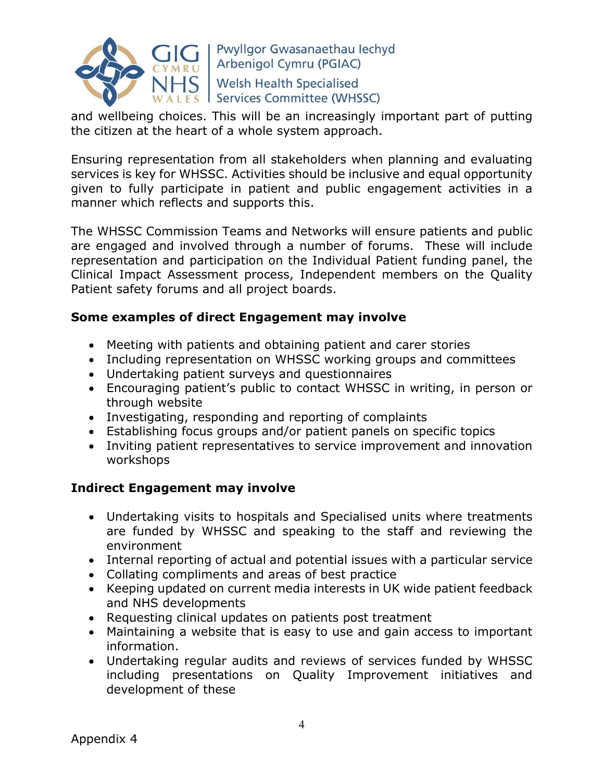

and wellbeing choices. This will be an increasingly important part of putting the citizen at the heart of a whole system approach.

Ensuring representation from all stakeholders when planning and evaluating services is key for WHSSC. Activities should be inclusive and equal opportunity given to fully participate in patient and public engagement activities in a manner which reflects and supports this.

The WHSSC Commission Teams and Networks will ensure patients and public are engaged and involved through a number of forums. These will include representation and participation on the Individual Patient funding panel, the Clinical Impact Assessment process, Independent members on the Quality Patient safety forums and all project boards.

### **Some examples of direct Engagement may involve**

- Meeting with patients and obtaining patient and carer stories
- Including representation on WHSSC working groups and committees
- Undertaking patient surveys and questionnaires
- Encouraging patient's public to contact WHSSC in writing, in person or through website
- Investigating, responding and reporting of complaints
- Establishing focus groups and/or patient panels on specific topics
- Inviting patient representatives to service improvement and innovation workshops

## **Indirect Engagement may involve**

- Undertaking visits to hospitals and Specialised units where treatments are funded by WHSSC and speaking to the staff and reviewing the environment
- Internal reporting of actual and potential issues with a particular service
- Collating compliments and areas of best practice
- Keeping updated on current media interests in UK wide patient feedback and NHS developments
- Requesting clinical updates on patients post treatment
- Maintaining a website that is easy to use and gain access to important information.
- Undertaking regular audits and reviews of services funded by WHSSC including presentations on Quality Improvement initiatives and development of these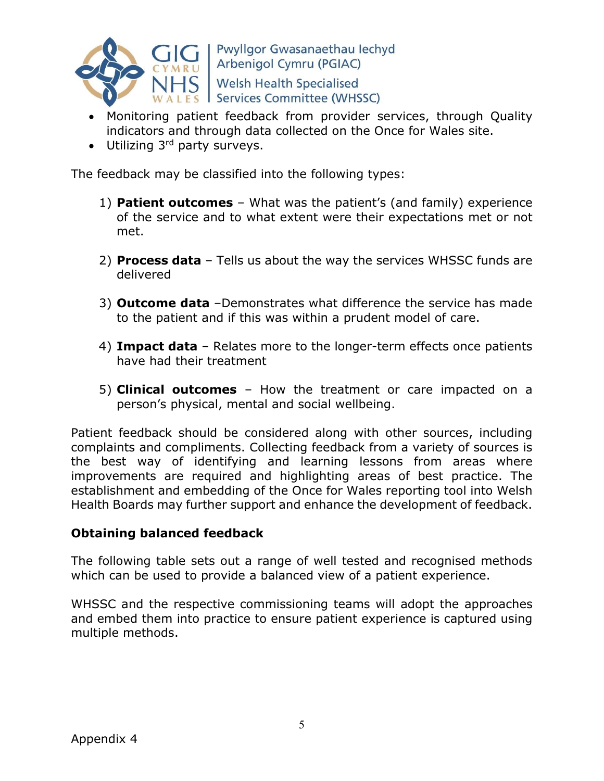

- Monitoring patient feedback from provider services, through Quality indicators and through data collected on the Once for Wales site.
- Utilizing 3rd party surveys.

The feedback may be classified into the following types:

- 1) **Patient outcomes** What was the patient's (and family) experience of the service and to what extent were their expectations met or not met.
- 2) **Process data** Tells us about the way the services WHSSC funds are delivered
- 3) **Outcome data** –Demonstrates what difference the service has made to the patient and if this was within a prudent model of care.
- 4) **Impact data** Relates more to the longer-term effects once patients have had their treatment
- 5) **Clinical outcomes** How the treatment or care impacted on a person's physical, mental and social wellbeing.

Patient feedback should be considered along with other sources, including complaints and compliments. Collecting feedback from a variety of sources is the best way of identifying and learning lessons from areas where improvements are required and highlighting areas of best practice. The establishment and embedding of the Once for Wales reporting tool into Welsh Health Boards may further support and enhance the development of feedback.

#### **Obtaining balanced feedback**

The following table sets out a range of well tested and recognised methods which can be used to provide a balanced view of a patient experience.

WHSSC and the respective commissioning teams will adopt the approaches and embed them into practice to ensure patient experience is captured using multiple methods.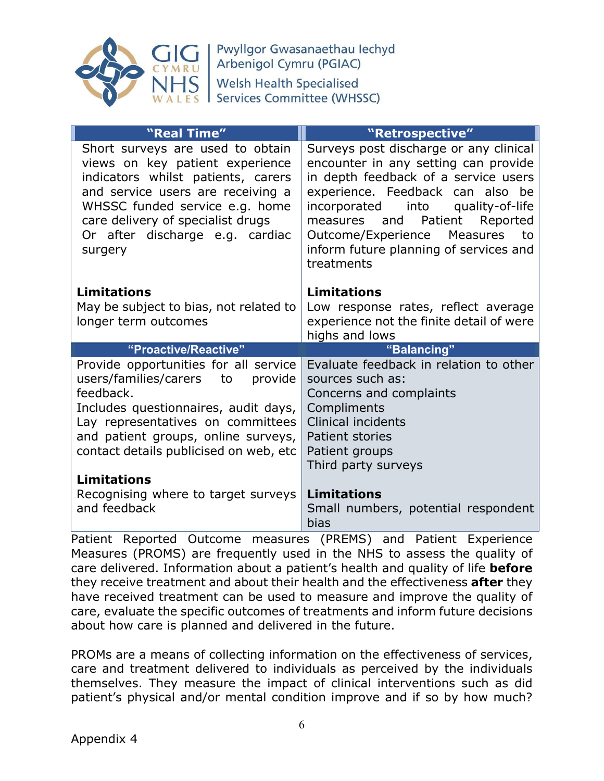

| "Real Time"                                                                                                                                                                                                                                                         | "Retrospective"                                                                                                                                                                                                                                                                                                                        |  |
|---------------------------------------------------------------------------------------------------------------------------------------------------------------------------------------------------------------------------------------------------------------------|----------------------------------------------------------------------------------------------------------------------------------------------------------------------------------------------------------------------------------------------------------------------------------------------------------------------------------------|--|
| Short surveys are used to obtain<br>views on key patient experience<br>indicators whilst patients, carers<br>and service users are receiving a<br>WHSSC funded service e.g. home<br>care delivery of specialist drugs<br>Or after discharge e.g. cardiac<br>surgery | Surveys post discharge or any clinical<br>encounter in any setting can provide<br>in depth feedback of a service users<br>experience. Feedback can also be<br>incorporated<br>into<br>quality-of-life<br>measures and Patient Reported<br>Outcome/Experience<br>Measures<br>to<br>inform future planning of services and<br>treatments |  |
| <b>Limitations</b><br>May be subject to bias, not related to<br>longer term outcomes                                                                                                                                                                                | <b>Limitations</b><br>Low response rates, reflect average<br>experience not the finite detail of were<br>highs and lows                                                                                                                                                                                                                |  |
| "Proactive/Reactive"<br>"Balancing"                                                                                                                                                                                                                                 |                                                                                                                                                                                                                                                                                                                                        |  |
| Provide opportunities for all service<br>users/families/carers<br>to<br>provide<br>feedback.<br>Includes questionnaires, audit days,<br>Lay representatives on committees<br>and patient groups, online surveys,<br>contact details publicised on web, etc          | Evaluate feedback in relation to other<br>sources such as:<br>Concerns and complaints<br>Compliments<br><b>Clinical incidents</b><br><b>Patient stories</b><br>Patient groups<br>Third party surveys                                                                                                                                   |  |
| <b>Limitations</b>                                                                                                                                                                                                                                                  |                                                                                                                                                                                                                                                                                                                                        |  |
| Recognising where to target surveys<br>and feedback                                                                                                                                                                                                                 | <b>Limitations</b><br>Small numbers, potential respondent<br>bias                                                                                                                                                                                                                                                                      |  |

Patient Reported Outcome measures (PREMS) and Patient Experience Measures (PROMS) are frequently used in the NHS to assess the quality of care delivered. Information about a patient's health and quality of life **before**  they receive treatment and about their health and the effectiveness **after** they have received treatment can be used to measure and improve the quality of care, evaluate the specific outcomes of treatments and inform future decisions about how care is planned and delivered in the future.

PROMs are a means of collecting information on the effectiveness of services, care and treatment delivered to individuals as perceived by the individuals themselves. They measure the impact of clinical interventions such as did patient's physical and/or mental condition improve and if so by how much?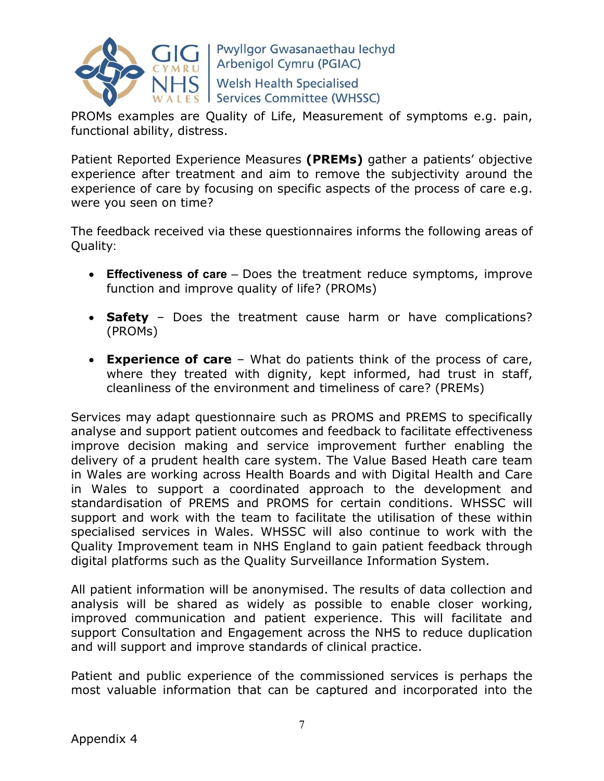

PROMs examples are Quality of Life, Measurement of symptoms e.g. pain, functional ability, distress.

Patient Reported Experience Measures **(PREMs)** gather a patients' objective experience after treatment and aim to remove the subjectivity around the experience of care by focusing on specific aspects of the process of care e.g. were you seen on time?

The feedback received via these questionnaires informs the following areas of Quality:

- **Effectiveness of care**  Does the treatment reduce symptoms, improve function and improve quality of life? (PROMs)
- **Safety**  Does the treatment cause harm or have complications? (PROMs)
- **Experience of care** What do patients think of the process of care, where they treated with dignity, kept informed, had trust in staff, cleanliness of the environment and timeliness of care? (PREMs)

Services may adapt questionnaire such as PROMS and PREMS to specifically analyse and support patient outcomes and feedback to facilitate effectiveness improve decision making and service improvement further enabling the delivery of a prudent health care system. The Value Based Heath care team in Wales are working across Health Boards and with Digital Health and Care in Wales to support a coordinated approach to the development and standardisation of PREMS and PROMS for certain conditions. WHSSC will support and work with the team to facilitate the utilisation of these within specialised services in Wales. WHSSC will also continue to work with the Quality Improvement team in NHS England to gain patient feedback through digital platforms such as the Quality Surveillance Information System.

All patient information will be anonymised. The results of data collection and analysis will be shared as widely as possible to enable closer working, improved communication and patient experience. This will facilitate and support Consultation and Engagement across the NHS to reduce duplication and will support and improve standards of clinical practice.

Patient and public experience of the commissioned services is perhaps the most valuable information that can be captured and incorporated into the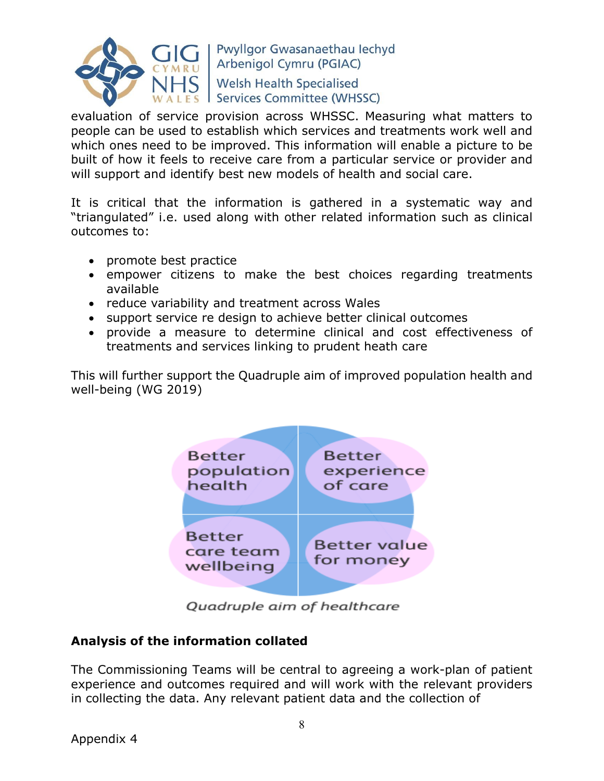

evaluation of service provision across WHSSC. Measuring what matters to people can be used to establish which services and treatments work well and which ones need to be improved. This information will enable a picture to be built of how it feels to receive care from a particular service or provider and will support and identify best new models of health and social care.

It is critical that the information is gathered in a systematic way and "triangulated" i.e. used along with other related information such as clinical outcomes to:

- promote best practice
- empower citizens to make the best choices regarding treatments available
- reduce variability and treatment across Wales
- support service re design to achieve better clinical outcomes
- provide a measure to determine clinical and cost effectiveness of treatments and services linking to prudent heath care

This will further support the Quadruple aim of improved population health and well-being (WG 2019)



Quadruple aim of healthcare

### **Analysis of the information collated**

The Commissioning Teams will be central to agreeing a work-plan of patient experience and outcomes required and will work with the relevant providers in collecting the data. Any relevant patient data and the collection of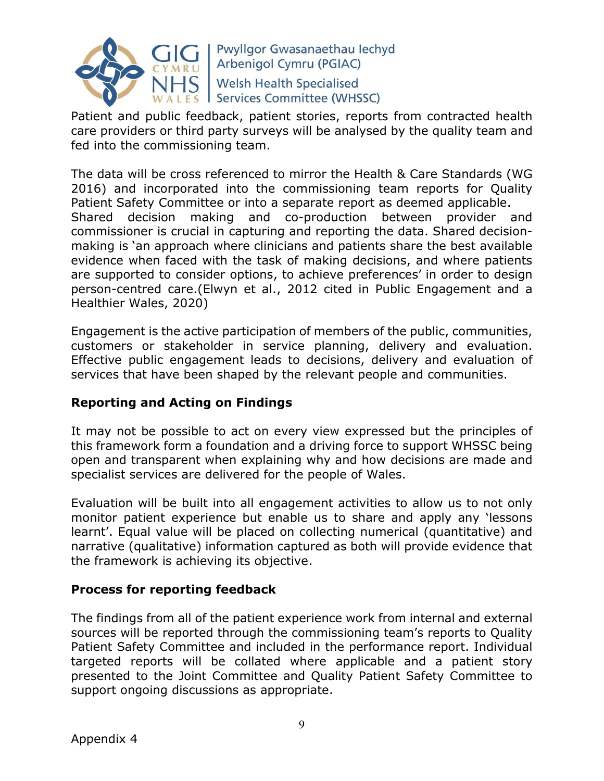

Patient and public feedback, patient stories, reports from contracted health care providers or third party surveys will be analysed by the quality team and fed into the commissioning team.

The data will be cross referenced to mirror the Health & Care Standards (WG 2016) and incorporated into the commissioning team reports for Quality Patient Safety Committee or into a separate report as deemed applicable. Shared decision making and co-production between provider and commissioner is crucial in capturing and reporting the data. Shared decisionmaking is 'an approach where clinicians and patients share the best available evidence when faced with the task of making decisions, and where patients are supported to consider options, to achieve preferences' in order to design person-centred care.(Elwyn et al., 2012 cited in Public Engagement and a Healthier Wales, 2020)

Engagement is the active participation of members of the public, communities, customers or stakeholder in service planning, delivery and evaluation. Effective public engagement leads to decisions, delivery and evaluation of services that have been shaped by the relevant people and communities.

### **Reporting and Acting on Findings**

It may not be possible to act on every view expressed but the principles of this framework form a foundation and a driving force to support WHSSC being open and transparent when explaining why and how decisions are made and specialist services are delivered for the people of Wales.

Evaluation will be built into all engagement activities to allow us to not only monitor patient experience but enable us to share and apply any 'lessons learnt'. Equal value will be placed on collecting numerical (quantitative) and narrative (qualitative) information captured as both will provide evidence that the framework is achieving its objective.

### **Process for reporting feedback**

The findings from all of the patient experience work from internal and external sources will be reported through the commissioning team's reports to Quality Patient Safety Committee and included in the performance report. Individual targeted reports will be collated where applicable and a patient story presented to the Joint Committee and Quality Patient Safety Committee to support ongoing discussions as appropriate.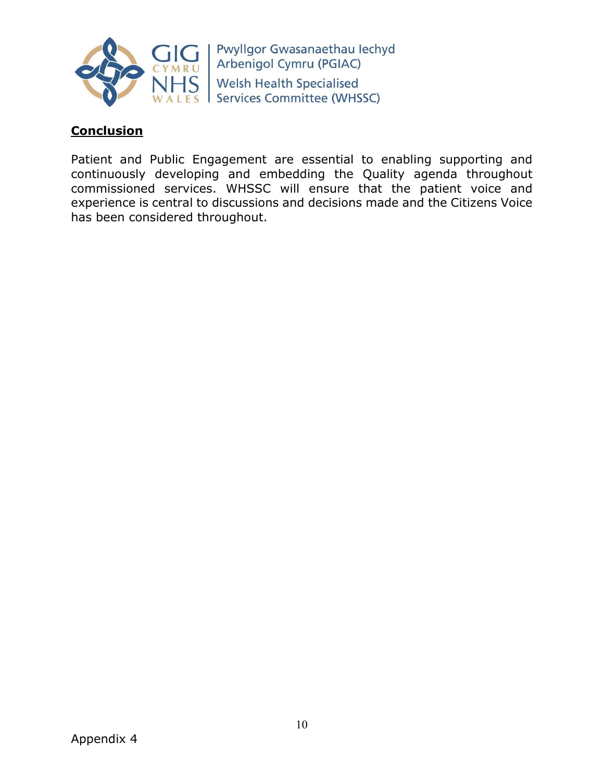

### **Conclusion**

Patient and Public Engagement are essential to enabling supporting and continuously developing and embedding the Quality agenda throughout commissioned services. WHSSC will ensure that the patient voice and experience is central to discussions and decisions made and the Citizens Voice has been considered throughout.